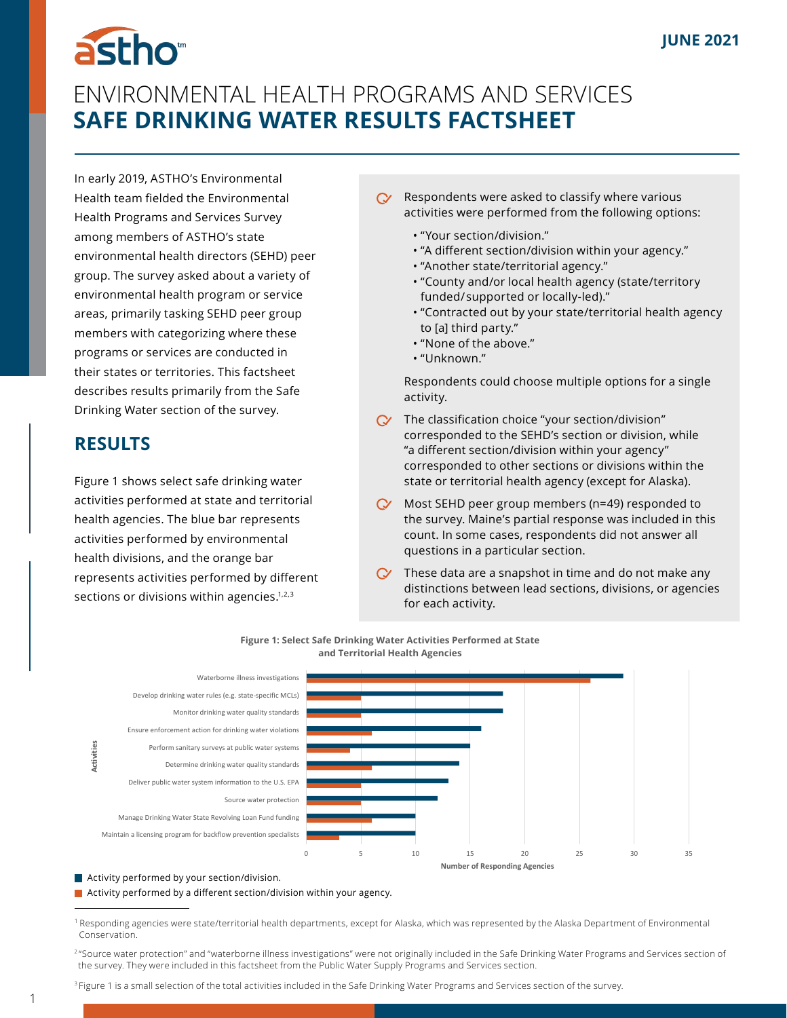# astho<sup>®</sup>

# ENVIRONMENTAL HEALTH PROGRAMS AND SERVICES **SAFE DRINKING WATER RESULTS FACTSHEET**

In early 2019, ASTHO's Environmental Health team fielded the Environmental Health Programs and Services Survey among members of ASTHO's state environmental health directors (SEHD) peer group. The survey asked about a variety of environmental health program or service areas, primarily tasking SEHD peer group members with categorizing where these programs or services are conducted in their states or territories. This factsheet describes results primarily from the Safe Drinking Water section of the survey.

## **RESULTS**

Figure 1 shows select safe drinking water activities performed at state and territorial health agencies. The blue bar represents activities performed by environmental health divisions, and the orange bar represents activities performed by different sections or divisions within agencies.<sup>1,2,3</sup>

- Respondents were asked to classify where various  $\infty$ activities were performed from the following options:
	- "Your section/division."
	- "A different section/division within your agency."
	- "Another state/territorial agency."
	- "County and/or local health agency (state/territory  funded/ supported or locally-led)."
	- "Contracted out by your state/territorial health agency  to [a] third party."
	- "None of the above."
	- "Unknown."

Respondents could choose multiple options for a single activity.

- $\alpha$  The classification choice "your section/division" corresponded to the SEHD's section or division, while "a different section/division within your agency" corresponded to other sections or divisions within the state or territorial health agency (except for Alaska).
- $\infty$ Most SEHD peer group members (n=49) responded to the survey. Maine's partial response was included in this count. In some cases, respondents did not answer all questions in a particular section.
- These data are a snapshot in time and do not make any distinctions between lead sections, divisions, or agencies for each activity.



**Figure 1: Select Safe Drinking Water Activities Performed at State and Territorial Health Agencies**

**Activity performed by your section/division.** 

1

Activity performed by a different section/division within your agency.

<sup>&</sup>lt;sup>1</sup> Responding agencies were state/territorial health departments, except for Alaska, which was represented by the Alaska Department of Environmental Conservation.

<sup>&</sup>lt;sup>2</sup> "Source water protection" and "waterborne illness investigations" were not originally included in the Safe Drinking Water Programs and Services section of     the survey. They were included in this factsheet from the Public Water Supply Programs and Services section.

<sup>&</sup>lt;sup>3</sup> Figure 1 is a small selection of the total activities included in the Safe Drinking Water Programs and Services section of the survey.